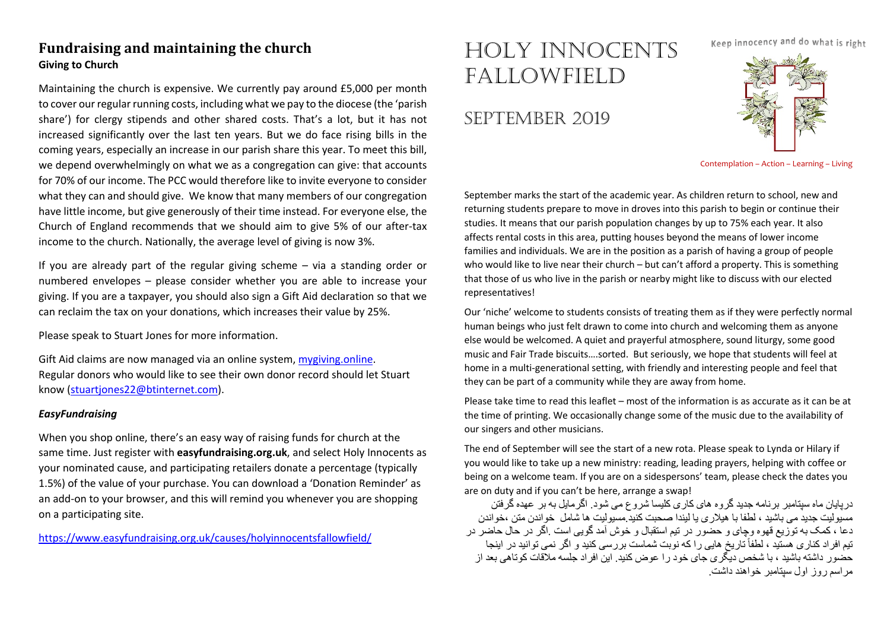## **Fundraising and maintaining the church Giving to Church**

Maintaining the church is expensive. We currently pay around £5,000 per month to cover our regular running costs, including what we pay to the diocese (the 'parish share') for clergy stipends and other shared costs. That's a lot, but it has not increased significantly over the last ten years. But we do face rising bills in the coming years, especially an increase in our parish share this year. To meet this bill, we depend overwhelmingly on what we as a congregation can give: that accounts for 70% of our income. The PCC would therefore like to invite everyone to consider what they can and should give. We know that many members of our congregation have little income, but give generously of their time instead. For everyone else, the Church of England recommends that we should aim to give 5% of our after-tax income to the church. Nationally, the average level of giving is now 3%.

If you are already part of the regular giving scheme – via a standing order or numbered envelopes – please consider whether you are able to increase your giving. If you are a taxpayer, you should also sign a Gift Aid declaration so that we can reclaim the tax on your donations, which increases their value by 25%.

Please speak to Stuart Jones for more information.

Gift Aid claims are now managed via an online system, mygiving online. Regular donors who would like to see their own donor record should let Stuart know (stuartjones22@btinternet.com).

#### *EasyFundraising*

When you shop online, there's an easy way of raising funds for church at the same time. Just register with **easyfundraising.org.uk**, and select Holy Innocents as your nominated cause, and participating retailers donate a percentage (typically 1.5%) of the value of your purchase. You can download a 'Donation Reminder' as an add-on to your browser, and this will remind you whenever you are shopping on a participating site.

https://www.easyfundraising.org.uk/causes/holyinnocentsfallowfield/

# HOLY INNOCENTS FALLOWFIELD

# SEPTEMBER 2019

Keep innocency and do what is right



Contemplation – Action – Learning – Living

September marks the start of the academic year. As children return to school, new and returning students prepare to move in droves into this parish to begin or continue their studies. It means that our parish population changes by up to 75% each year. It also affects rental costs in this area, putting houses beyond the means of lower income families and individuals. We are in the position as a parish of having a group of people who would like to live near their church – but can't afford a property. This is something that those of us who live in the parish or nearby might like to discuss with our elected representatives!

Our 'niche' welcome to students consists of treating them as if they were perfectly normal human beings who just felt drawn to come into church and welcoming them as anyone else would be welcomed. A quiet and prayerful atmosphere, sound liturgy, some good music and Fair Trade biscuits….sorted. But seriously, we hope that students will feel at home in a multi-generational setting, with friendly and interesting people and feel that they can be part of a community while they are away from home.

Please take time to read this leaflet – most of the information is as accurate as it can be at the time of printing. We occasionally change some of the music due to the availability of our singers and other musicians.

The end of September will see the start of a new rota. Please speak to Lynda or Hilary if you would like to take up a new ministry: reading, leading prayers, helping with coffee or being on a welcome team. If you are on a sidespersons' team, please check the dates you are on duty and if you can't be here, arrange a swap!

در بابان ماه سبتامبر پر نامه جدید گر و ه های کار ی کلیسا شر و ع مے شود . اگر مابل به بر عهده گر فتن مسیولیت جدید می باشید ، لطفا با هیلاری یا لیندا صحبت کنید.مسیولیت ها شامل خو اندن متن ،خو اندن دعا ، کمک به توزیع قهوه وجای و حضور در تیم استقبال و خوش آمد گویی است .اگر در حال حاضر در تیم افر اد کناری هستید ، لطفاً تاریخ هایی را که نوبت شماست بر رسی کنید و اگر نمی توانید در اینجا حضور ِ داشته باشید ، با شخص دیگر ی جای خود ر ا عوض کنید. این افر اد جلسه ملاقات کو تاهی بعد از مر اسم دون اول سیتامیر خواهند داشت